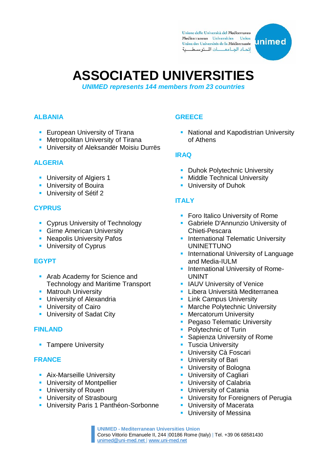Unione delle Università del Mediterraneo Mediterranean Universities Union Union des Universités de la Méditerranée اتحاد الجامعات المتوسطية



# **ASSOCIATED UNIVERSITIES**

*UNIMED represents 144 members from 23 countries*

#### **ALBANIA**

- **European University of Tirana**
- **Metropolitan University of Tirana**
- **-** University of Aleksandër Moisiu Durrës

#### **ALGERIA**

- **University of Algiers 1**
- **University of Bouira**
- **University of Sétif 2**

#### **CYPRUS**

- **Cyprus University of Technology**
- **Girne American University**
- **Neapolis University Pafos**
- **University of Cyprus**

#### **EGYPT**

- **Arab Academy for Science and** Technology and Maritime Transport
- **Matrouh University**
- **University of Alexandria**
- **University of Cairo**
- **University of Sadat City**

#### **FINLAND**

**Tampere University** 

#### **FRANCE**

- **Aix-Marseille University**
- **University of Montpellier**
- **University of Rouen**
- **University of Strasbourg**
- **University Paris 1 Panthéon-Sorbonne**

### **GREECE**

• National and Kapodistrian University of Athens

#### **IRAQ**

- **Duhok Polytechnic University**
- **Middle Technical University**
- **University of Duhok**

#### **ITALY**

- **Foro Italico University of Rome**
- **Gabriele D'Annunzio University of** Chieti-Pescara
- **International Telematic University** UNINETTUNO
- **International University of Language** and Media-IULM
- **International University of Rome-**UNINT
- **I** IAUV University of Venice
- **Libera Università Mediterranea**
- **Link Campus University**
- **Marche Polytechnic University**
- **Mercatorum University**
- **Pegaso Telematic University**
- Polytechnic of Turin
- **Sapienza University of Rome**
- **Tuscia University**
- **University Cà Foscari**
- **University of Bari**
- **University of Bologna**
- University of Cagliari
- **University of Calabria**
- **University of Catania**
- **University for Foreigners of Perugia**
- **University of Macerata**
- **University of Messina**

**UNIMED - Mediterranean Universities Union** Corso Vittorio Emanuele II, 244 |00186 Rome (Italy) | Tel. +39 06 6858143[0](mailto:unimed@uni-med.net) [unimed@uni-med.net |](mailto:unimed@uni-med.net) [www.uni-med.net](http://www.uni-med.net/)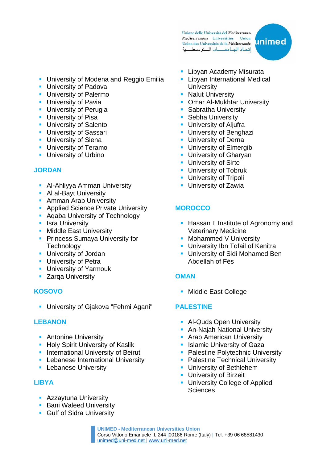Unione delle Università del Mediterraneo Mediterranean Universities Union Union des Universités de la Méditerranée اتحاد الجامعات المتوسطية



- **University of Modena and Reggio Emilia**
- **University of Padova**
- **University of Palermo**
- **University of Pavia**
- **University of Perugia**
- **University of Pisa**
- **University of Salento**
- **University of Sassari**
- **University of Siena**
- **University of Teramo**
- **University of Urbino**

#### **JORDAN**

- **Al-Ahliyya Amman University**
- **Al al-Bayt University**
- **Amman Arab University**
- **Applied Science Private University**
- **Aqaba University of Technology**
- **I**sra University
- **Middle East University**
- **Princess Sumaya University for Technology**
- **University of Jordan**
- **University of Petra**
- **University of Yarmouk**
- **EXALGO 2 Series** Zarqa University

#### **KOSOVO**

**University of Gjakova "Fehmi Agani"** 

#### **LEBANON**

- **Antonine University**
- **Holy Spirit University of Kaslik**
- **International University of Beirut**
- **-** Lebanese International University
- **-** Lebanese University

#### **LIBYA**

- **Azzaytuna University**
- **Bani Waleed University**
- **Gulf of Sidra University**
- **-** Libyan Academy Misurata
- Libyan International Medical **University**
- Nalut University
- **Demar Al-Mukhtar University**
- Sabratha University
- **Sebha University**
- **University of Aljufra**
- **University of Benghazi**
- **University of Derna**
- **University of Elmergib**
- **University of Gharyan**
- **University of Sirte**
- **University of Tobruk**
- **University of Tripoli**
- **University of Zawia**

# **MOROCCO**

- **Hassan II Institute of Agronomy and** Veterinary Medicine
- **Mohammed V University**
- **University Ibn Tofail of Kenitra**
- **University of Sidi Mohamed Ben** Abdellah of Fès

#### **OMAN**

**Middle East College** 

#### **PALESTINE**

- **Al-Quds Open University**
- **-** An-Najah National University
- **Arab American University**
- **In Islamic University of Gaza**
- **Palestine Polytechnic University**
- Palestine Technical University
- **University of Bethlehem**
- **University of Birzeit**
- **University College of Applied Sciences**